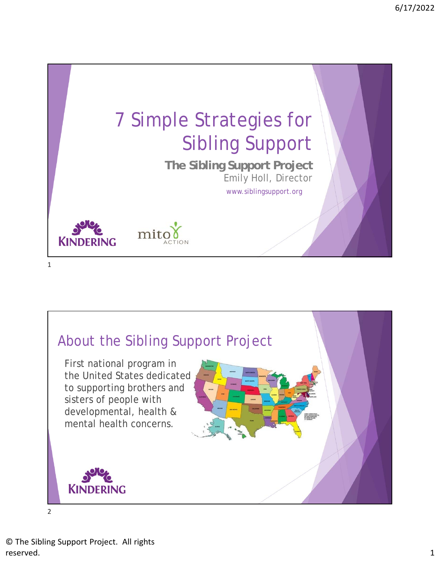

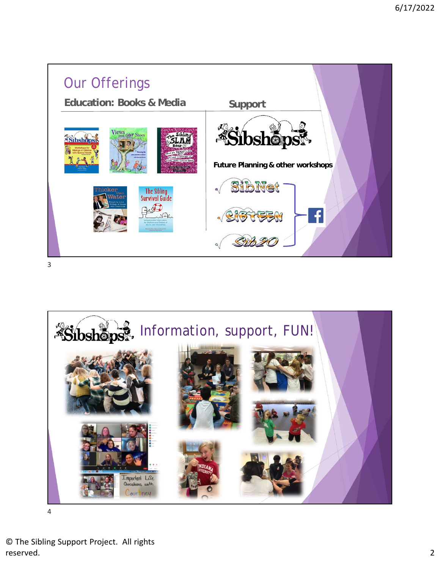



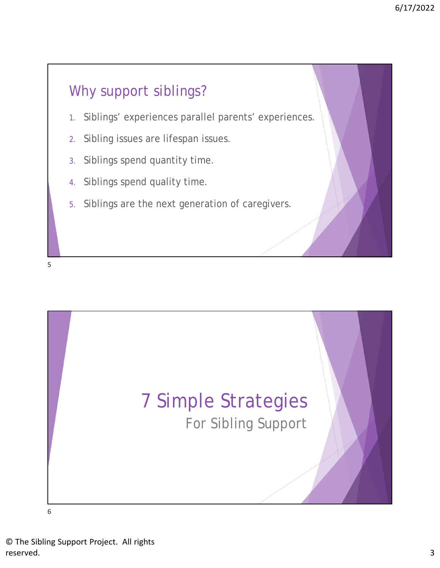## Why support siblings?

- 1. Siblings' experiences parallel parents' experiences.
- 2. Sibling issues are lifespan issues.
- 3. Siblings spend quantity time.
- 4. Siblings spend quality time.
- 5. Siblings are the next generation of caregivers.

5

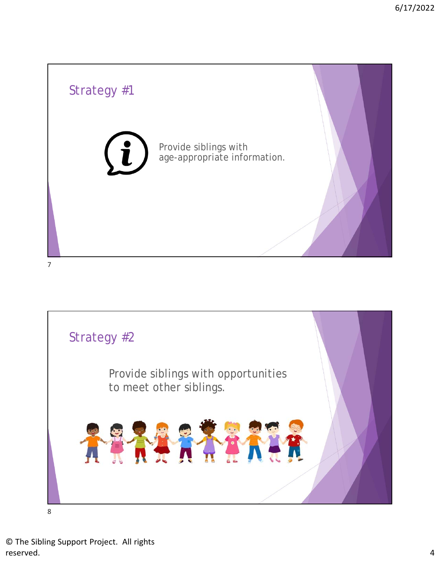

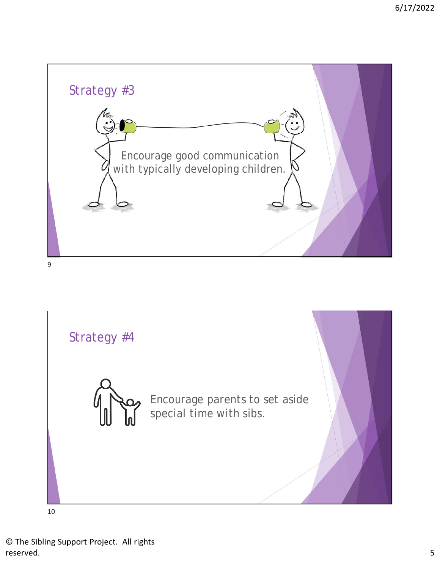

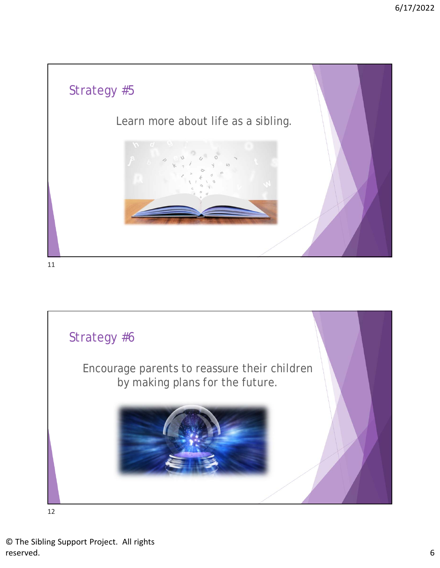